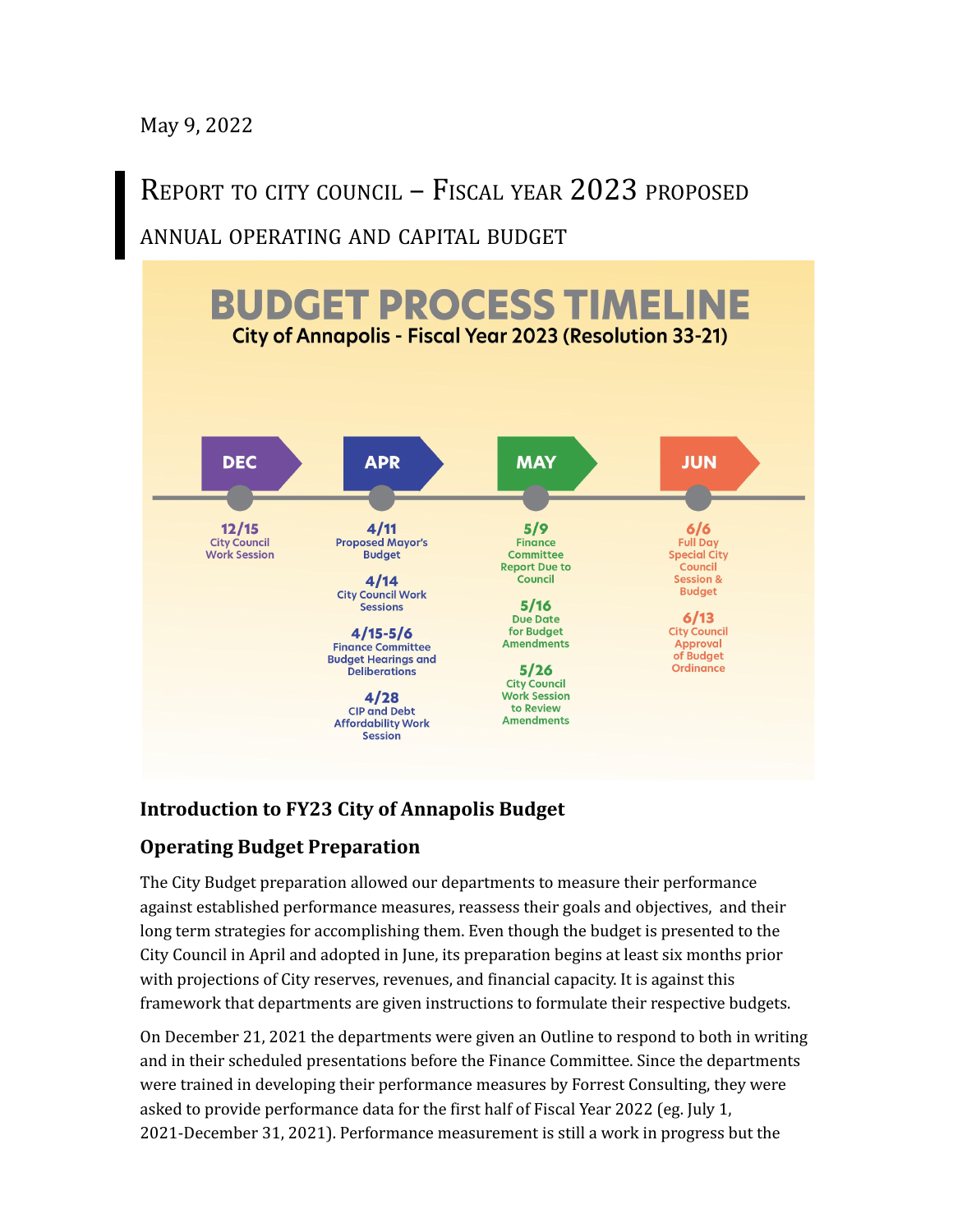May 9, 2022

REPORT TO CITY COUNCIL – FISCAL YEAR 2023 PROPOSED ANNUAL OPERATING AND CAPITAL BUDGET



## **Introduction to FY23 City of Annapolis Budget**

# **Operating Budget Preparation**

The City Budget preparation allowed our departments to measure their performance against established performance measures, reassess their goals and objectives, and their long term strategies for accomplishing them. Even though the budget is presented to the City Council in April and adopted in June, its preparation begins at least six months prior with projections of City reserves, revenues, and financial capacity. It is against this framework that departments are given instructions to formulate their respective budgets.

On December 21, 2021 the departments were given an Outline to respond to both in writing and in their scheduled presentations before the Finance Committee. Since the departments were trained in developing their performance measures by Forrest Consulting, they were asked to provide performance data for the first half of Fiscal Year 2022 (eg. July 1, 2021-December 31, 2021). Performance measurement is still a work in progress but the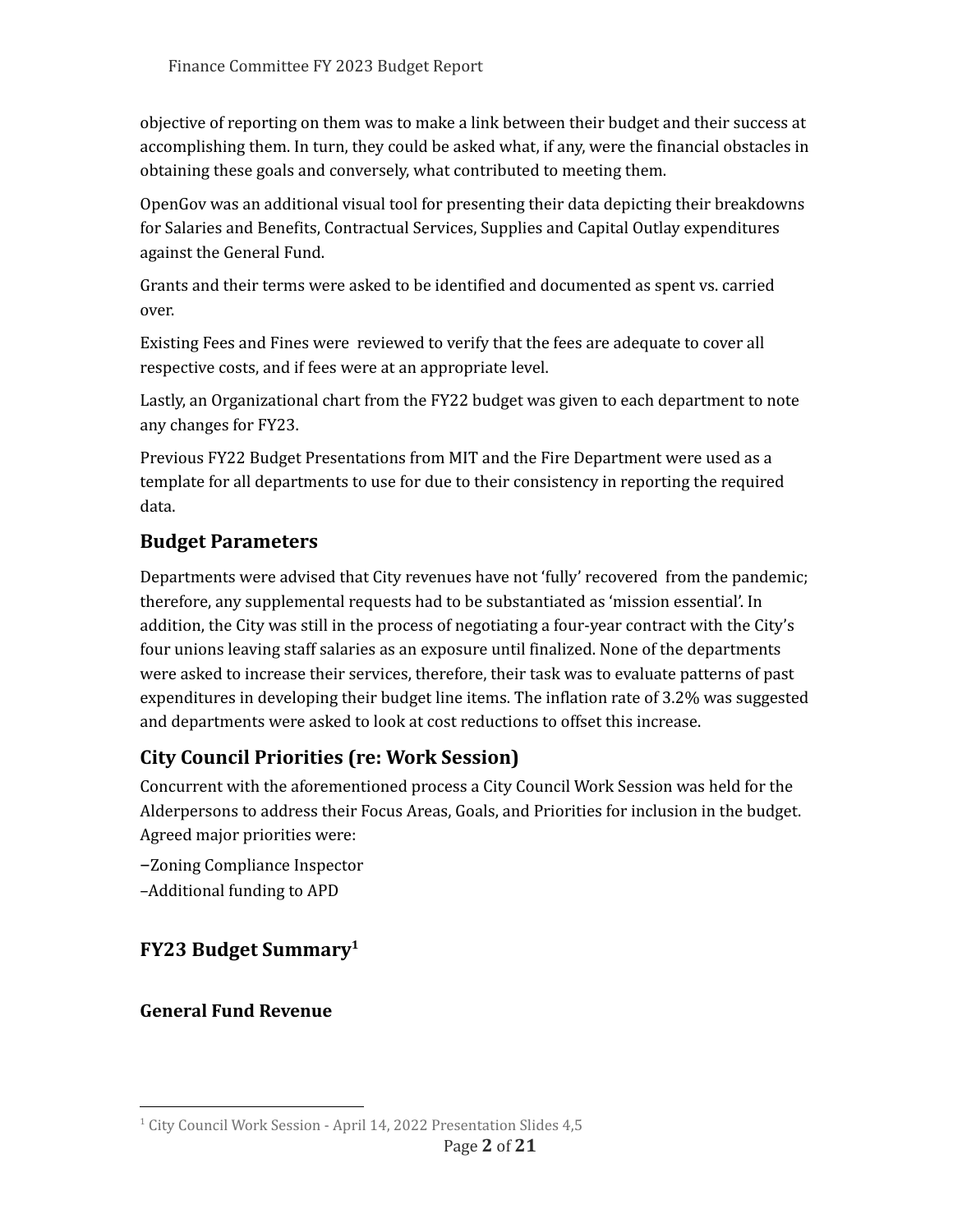objective of reporting on them was to make a link between their budget and their success at accomplishing them. In turn, they could be asked what, if any, were the financial obstacles in obtaining these goals and conversely, what contributed to meeting them.

OpenGov was an additional visual tool for presenting their data depicting their breakdowns for Salaries and Benefits, Contractual Services, Supplies and Capital Outlay expenditures against the General Fund.

Grants and their terms were asked to be identified and documented as spent vs. carried over.

Existing Fees and Fines were reviewed to verify that the fees are adequate to cover all respective costs, and if fees were at an appropriate level.

Lastly, an Organizational chart from the FY22 budget was given to each department to note any changes for FY23.

Previous FY22 Budget Presentations from MIT and the Fire Department were used as a template for all departments to use for due to their consistency in reporting the required data.

## **Budget Parameters**

Departments were advised that City revenues have not 'fully' recovered from the pandemic; therefore, any supplemental requests had to be substantiated as 'mission essential'. In addition, the City was still in the process of negotiating a four-year contract with the City's four unions leaving staff salaries as an exposure until finalized. None of the departments were asked to increase their services, therefore, their task was to evaluate patterns of past expenditures in developing their budget line items. The inflation rate of 3.2% was suggested and departments were asked to look at cost reductions to offset this increase.

# **City Council Priorities (re: Work Session)**

Concurrent with the aforementioned process a City Council Work Session was held for the Alderpersons to address their Focus Areas, Goals, and Priorities for inclusion in the budget. Agreed major priorities were:

–Zoning Compliance Inspector –Additional funding to APD

# **FY23 Budget Summary 1**

**General Fund Revenue**

<sup>&</sup>lt;sup>1</sup> City Council Work Session - April 14, 2022 Presentation Slides 4,5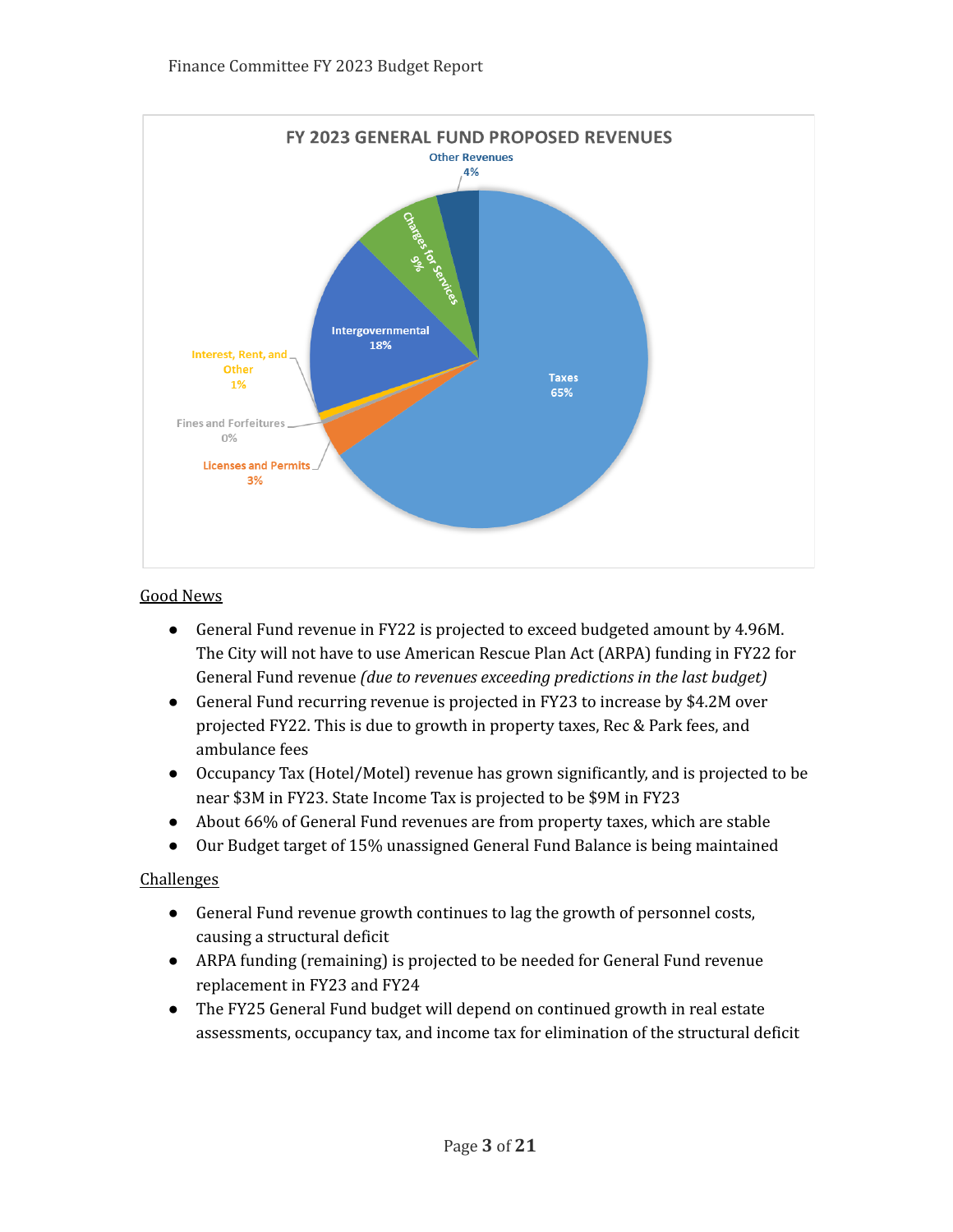

#### Good News

- General Fund revenue in FY22 is projected to exceed budgeted amount by 4.96M. The City will not have to use American Rescue Plan Act (ARPA) funding in FY22 for General Fund revenue *(due to revenues exceeding predictions in the last budget)*
- General Fund recurring revenue is projected in FY23 to increase by \$4.2M over projected FY22. This is due to growth in property taxes, Rec & Park fees, and ambulance fees
- Occupancy Tax (Hotel/Motel) revenue has grown significantly, and is projected to be near \$3M in FY23. State Income Tax is projected to be \$9M in FY23
- About 66% of General Fund revenues are from property taxes, which are stable
- Our Budget target of 15% unassigned General Fund Balance is being maintained

#### Challenges

- General Fund revenue growth continues to lag the growth of personnel costs, causing a structural deficit
- ARPA funding (remaining) is projected to be needed for General Fund revenue replacement in FY23 and FY24
- The FY25 General Fund budget will depend on continued growth in real estate assessments, occupancy tax, and income tax for elimination of the structural deficit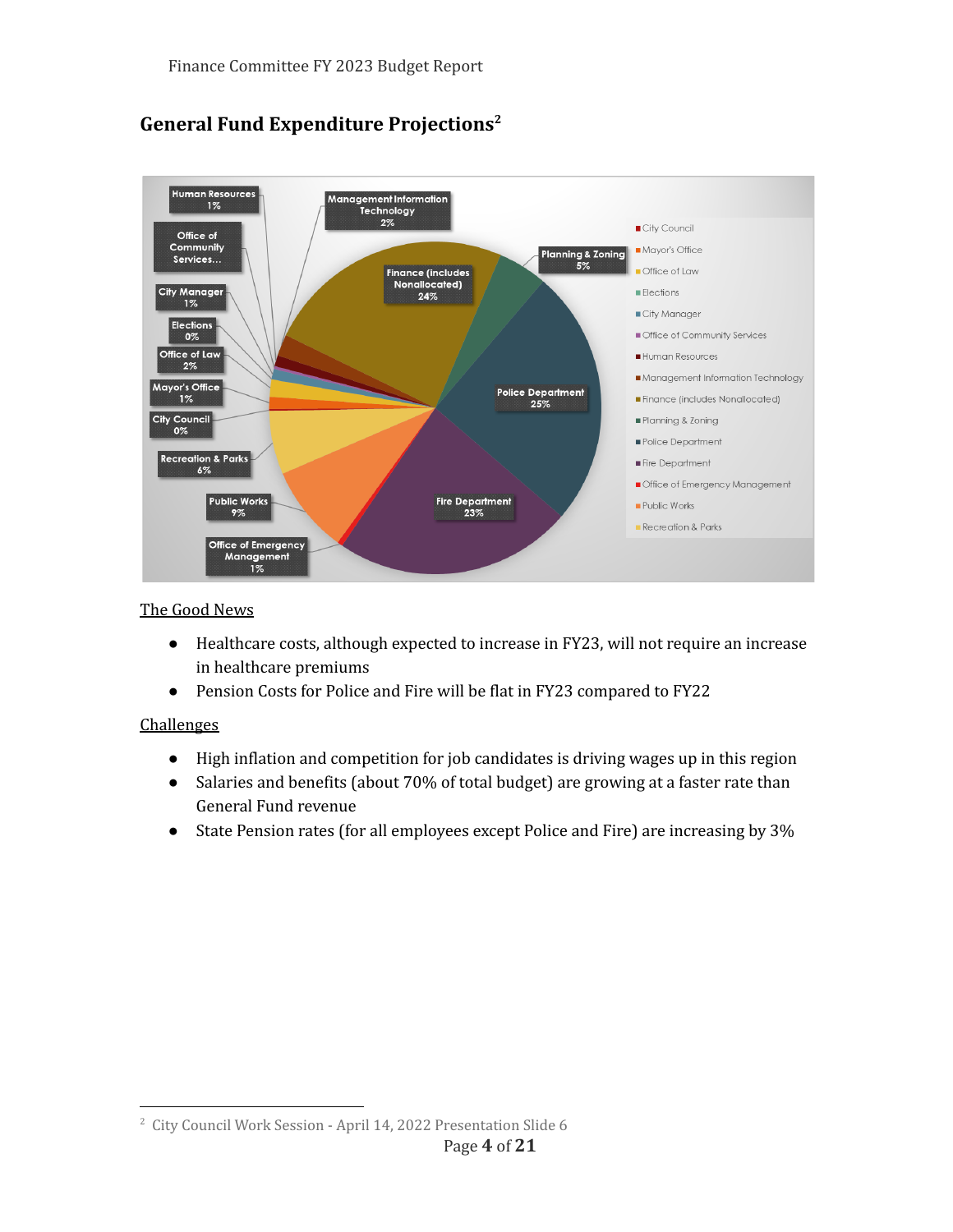

# **General Fund Expenditure Projections 2**

### The Good News

- Healthcare costs, although expected to increase in FY23, will not require an increase in healthcare premiums
- Pension Costs for Police and Fire will be flat in FY23 compared to FY22

## **Challenges**

- High inflation and competition for job candidates is driving wages up in this region
- Salaries and benefits (about 70% of total budget) are growing at a faster rate than General Fund revenue
- State Pension rates (for all employees except Police and Fire) are increasing by 3%

<sup>2</sup> City Council Work Session - April 14, 2022 Presentation Slide 6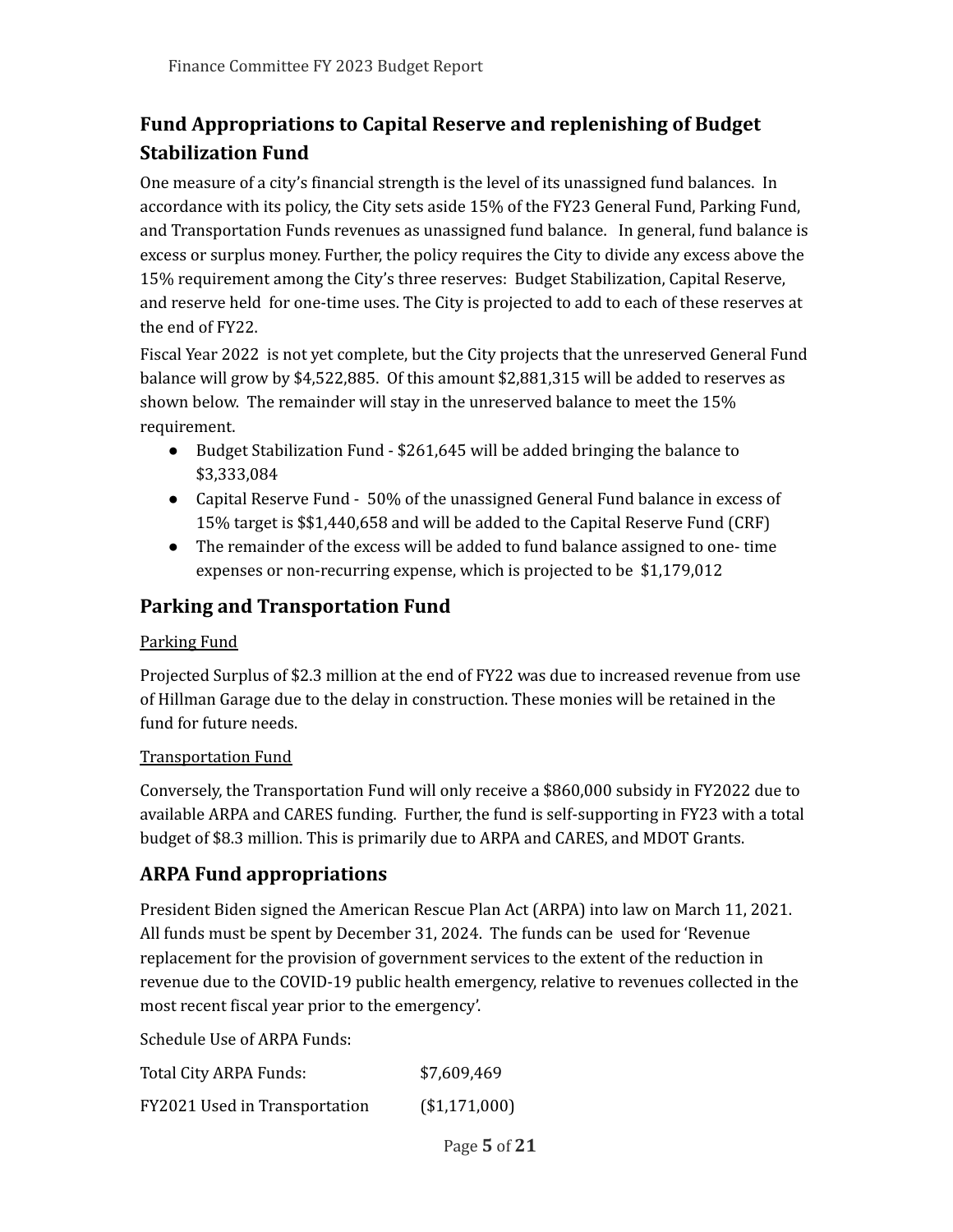# **Fund Appropriations to Capital Reserve and replenishing of Budget Stabilization Fund**

One measure of a city's financial strength is the level of its unassigned fund balances. In accordance with its policy, the City sets aside 15% of the FY23 General Fund, Parking Fund, and Transportation Funds revenues as unassigned fund balance. In general, fund balance is excess or surplus money. Further, the policy requires the City to divide any excess above the 15% requirement among the City's three reserves: Budget Stabilization, Capital Reserve, and reserve held for one-time uses. The City is projected to add to each of these reserves at the end of FY22.

Fiscal Year 2022 is not yet complete, but the City projects that the unreserved General Fund balance will grow by \$4,522,885. Of this amount \$2,881,315 will be added to reserves as shown below. The remainder will stay in the unreserved balance to meet the 15% requirement.

- Budget Stabilization Fund \$261,645 will be added bringing the balance to \$3,333,084
- Capital Reserve Fund 50% of the unassigned General Fund balance in excess of 15% target is \$\$1,440,658 and will be added to the Capital Reserve Fund (CRF)
- The remainder of the excess will be added to fund balance assigned to one- time expenses or non-recurring expense, which is projected to be \$1,179,012

## **Parking and Transportation Fund**

## Parking Fund

Projected Surplus of \$2.3 million at the end of FY22 was due to increased revenue from use of Hillman Garage due to the delay in construction. These monies will be retained in the fund for future needs.

## Transportation Fund

Conversely, the Transportation Fund will only receive a \$860,000 subsidy in FY2022 due to available ARPA and CARES funding. Further, the fund is self-supporting in FY23 with a total budget of \$8.3 million. This is primarily due to ARPA and CARES, and MDOT Grants.

## **ARPA Fund appropriations**

President Biden signed the American Rescue Plan Act (ARPA) into law on March 11, 2021. All funds must be spent by December 31, 2024. The funds can be used for 'Revenue replacement for the provision of government services to the extent of the reduction in revenue due to the COVID-19 public health emergency, relative to revenues collected in the most recent fiscal year prior to the emergency'.

Schedule Use of ARPA Funds:

| Total City ARPA Funds:        | \$7,609,469   |
|-------------------------------|---------------|
| FY2021 Used in Transportation | (\$1,171,000) |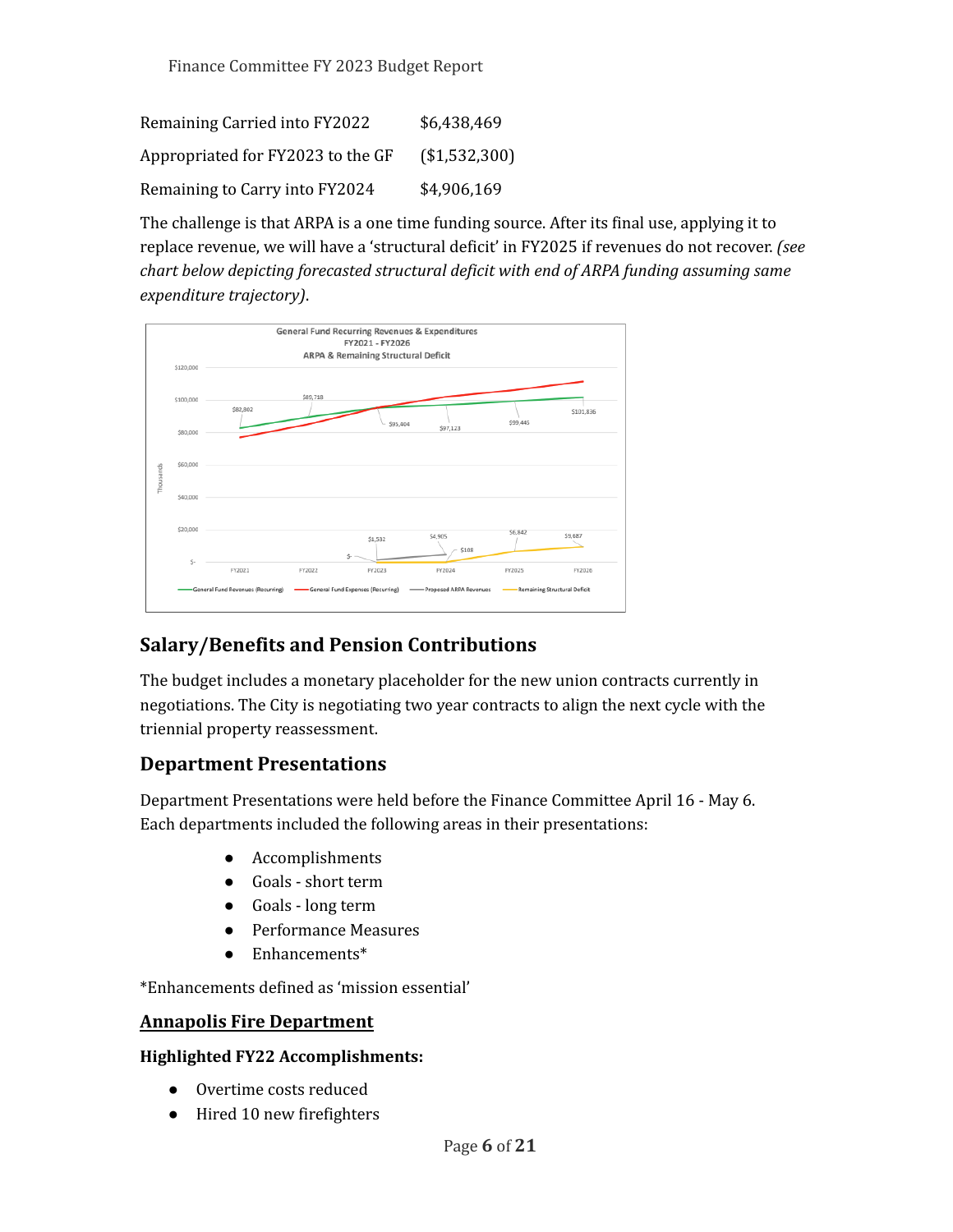| Remaining Carried into FY2022     | \$6,438,469   |
|-----------------------------------|---------------|
| Appropriated for FY2023 to the GF | (\$1,532,300) |
| Remaining to Carry into FY2024    | \$4,906,169   |

The challenge is that ARPA is a one time funding source. After its final use, applying it to replace revenue, we will have a 'structural deficit' in FY2025 if revenues do not recover. *(see chart below depicting forecasted structural deficit with end of ARPA funding assuming same expenditure trajectory)*.



# **Salary/Benefits and Pension Contributions**

The budget includes a monetary placeholder for the new union contracts currently in negotiations. The City is negotiating two year contracts to align the next cycle with the triennial property reassessment.

## **Department Presentations**

Department Presentations were held before the Finance Committee April 16 - May 6. Each departments included the following areas in their presentations:

- Accomplishments
- Goals short term
- Goals long term
- Performance Measures
- Enhancements\*

\*Enhancements defined as 'mission essential'

## **Annapolis Fire Department**

#### **Highlighted FY22 Accomplishments:**

- Overtime costs reduced
- Hired 10 new firefighters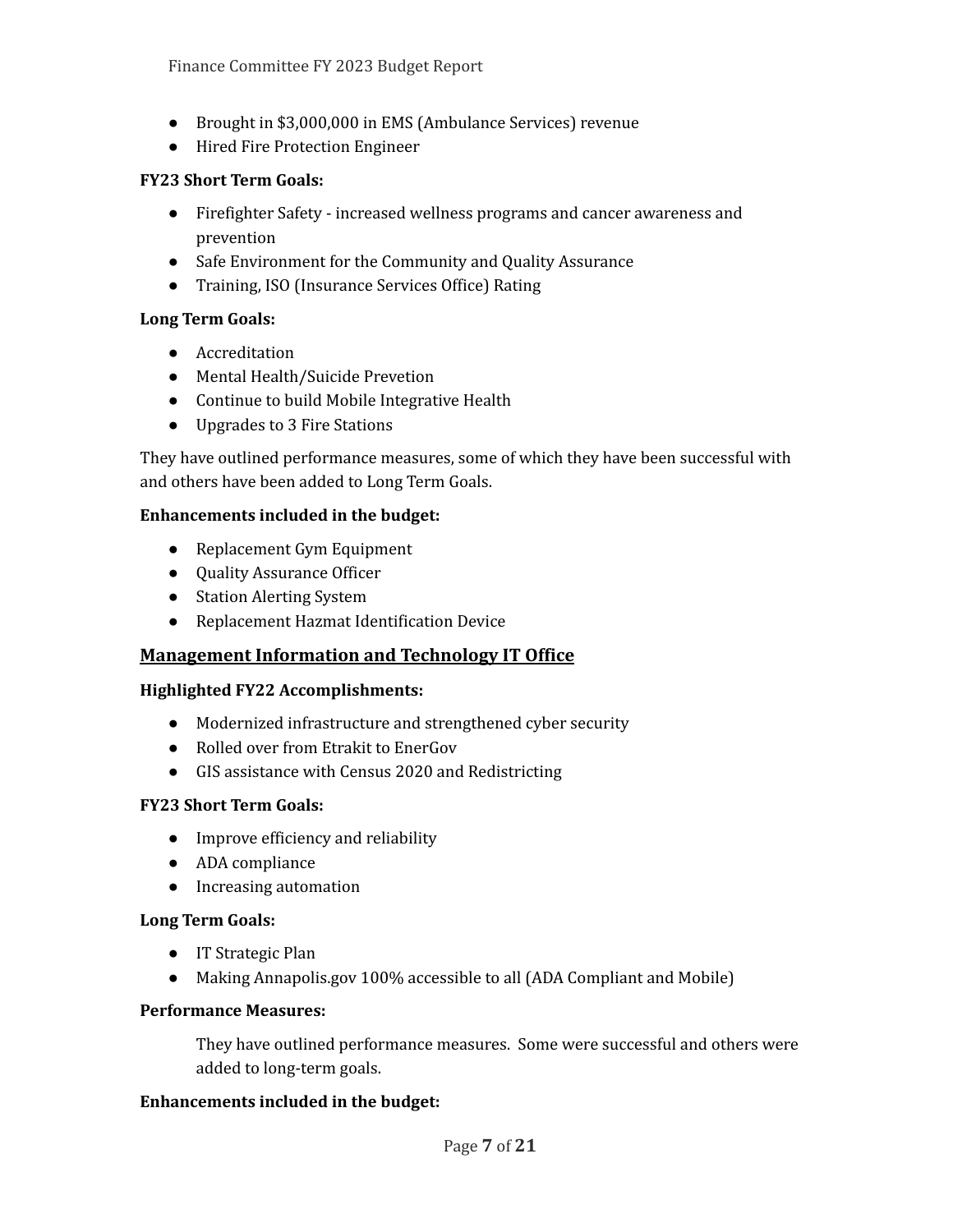- Brought in \$3,000,000 in EMS (Ambulance Services) revenue
- Hired Fire Protection Engineer

### **FY23 Short Term Goals:**

- Firefighter Safety increased wellness programs and cancer awareness and prevention
- Safe Environment for the Community and Quality Assurance
- Training, ISO (Insurance Services Office) Rating

#### **Long Term Goals:**

- Accreditation
- Mental Health/Suicide Prevetion
- Continue to build Mobile Integrative Health
- Upgrades to 3 Fire Stations

They have outlined performance measures, some of which they have been successful with and others have been added to Long Term Goals.

#### **Enhancements included in the budget:**

- Replacement Gym Equipment
- Quality Assurance Officer
- Station Alerting System
- Replacement Hazmat Identification Device

## **Management Information and Technology IT Office**

#### **Highlighted FY22 Accomplishments:**

- Modernized infrastructure and strengthened cyber security
- Rolled over from Etrakit to EnerGov
- GIS assistance with Census 2020 and Redistricting

#### **FY23 Short Term Goals:**

- Improve efficiency and reliability
- ADA compliance
- Increasing automation

#### **Long Term Goals:**

- IT Strategic Plan
- Making Annapolis.gov 100% accessible to all (ADA Compliant and Mobile)

#### **Performance Measures:**

They have outlined performance measures. Some were successful and others were added to long-term goals.

#### **Enhancements included in the budget:**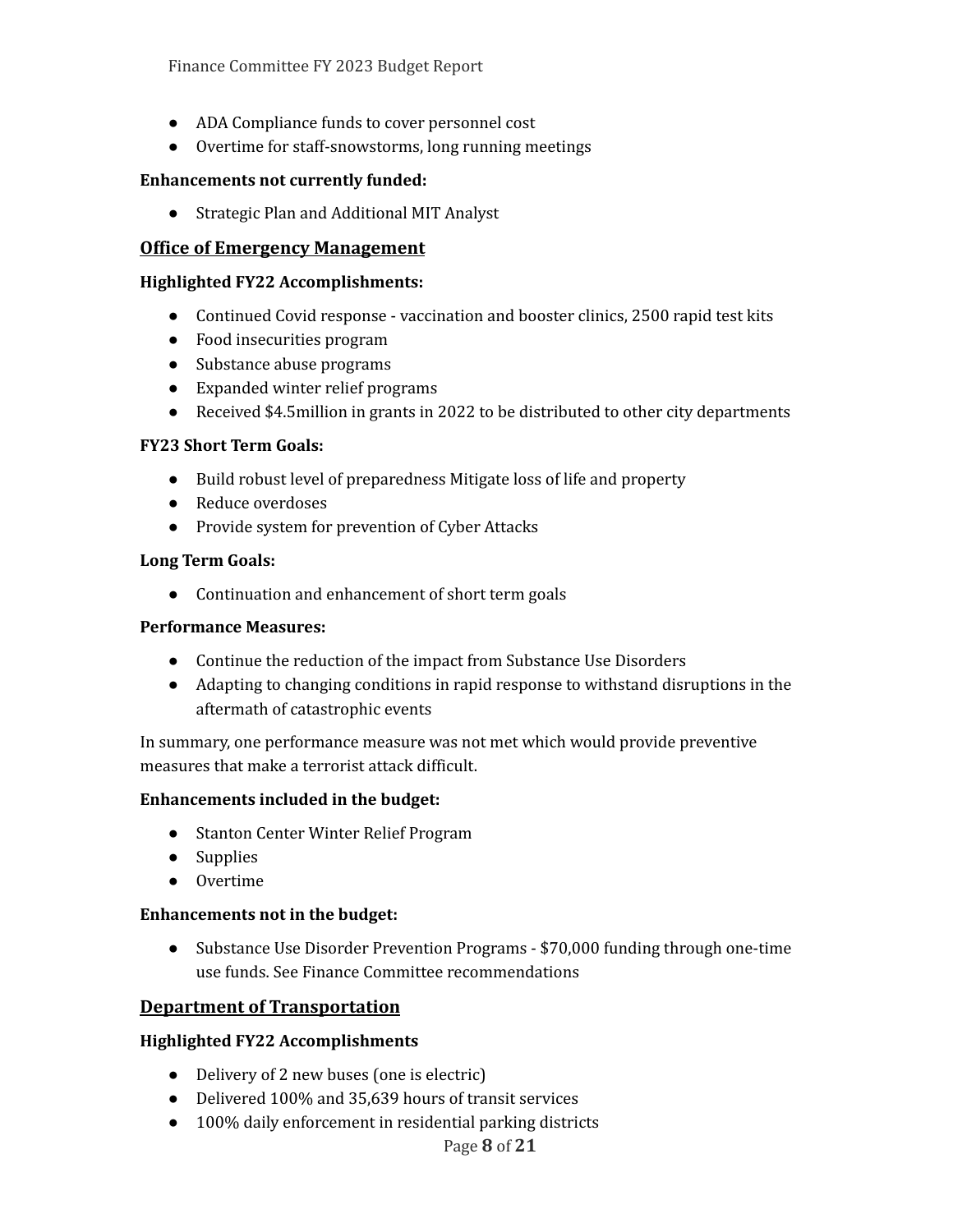- ADA Compliance funds to cover personnel cost
- Overtime for staff-snowstorms, long running meetings

#### **Enhancements not currently funded:**

● Strategic Plan and Additional MIT Analyst

### **Office of Emergency Management**

#### **Highlighted FY22 Accomplishments:**

- Continued Covid response vaccination and booster clinics, 2500 rapid test kits
- Food insecurities program
- Substance abuse programs
- Expanded winter relief programs
- Received \$4.5million in grants in 2022 to be distributed to other city departments

#### **FY23 Short Term Goals:**

- Build robust level of preparedness Mitigate loss of life and property
- Reduce overdoses
- Provide system for prevention of Cyber Attacks

#### **Long Term Goals:**

• Continuation and enhancement of short term goals

#### **Performance Measures:**

- Continue the reduction of the impact from Substance Use Disorders
- Adapting to changing conditions in rapid response to withstand disruptions in the aftermath of catastrophic events

In summary, one performance measure was not met which would provide preventive measures that make a terrorist attack difficult.

#### **Enhancements included in the budget:**

- Stanton Center Winter Relief Program
- Supplies
- Overtime

#### **Enhancements not in the budget:**

● Substance Use Disorder Prevention Programs - \$70,000 funding through one-time use funds. See Finance Committee recommendations

#### **Department of Transportation**

#### **Highlighted FY22 Accomplishments**

- Delivery of 2 new buses (one is electric)
- Delivered 100% and 35,639 hours of transit services
- 100% daily enforcement in residential parking districts

#### Page **8** of **21**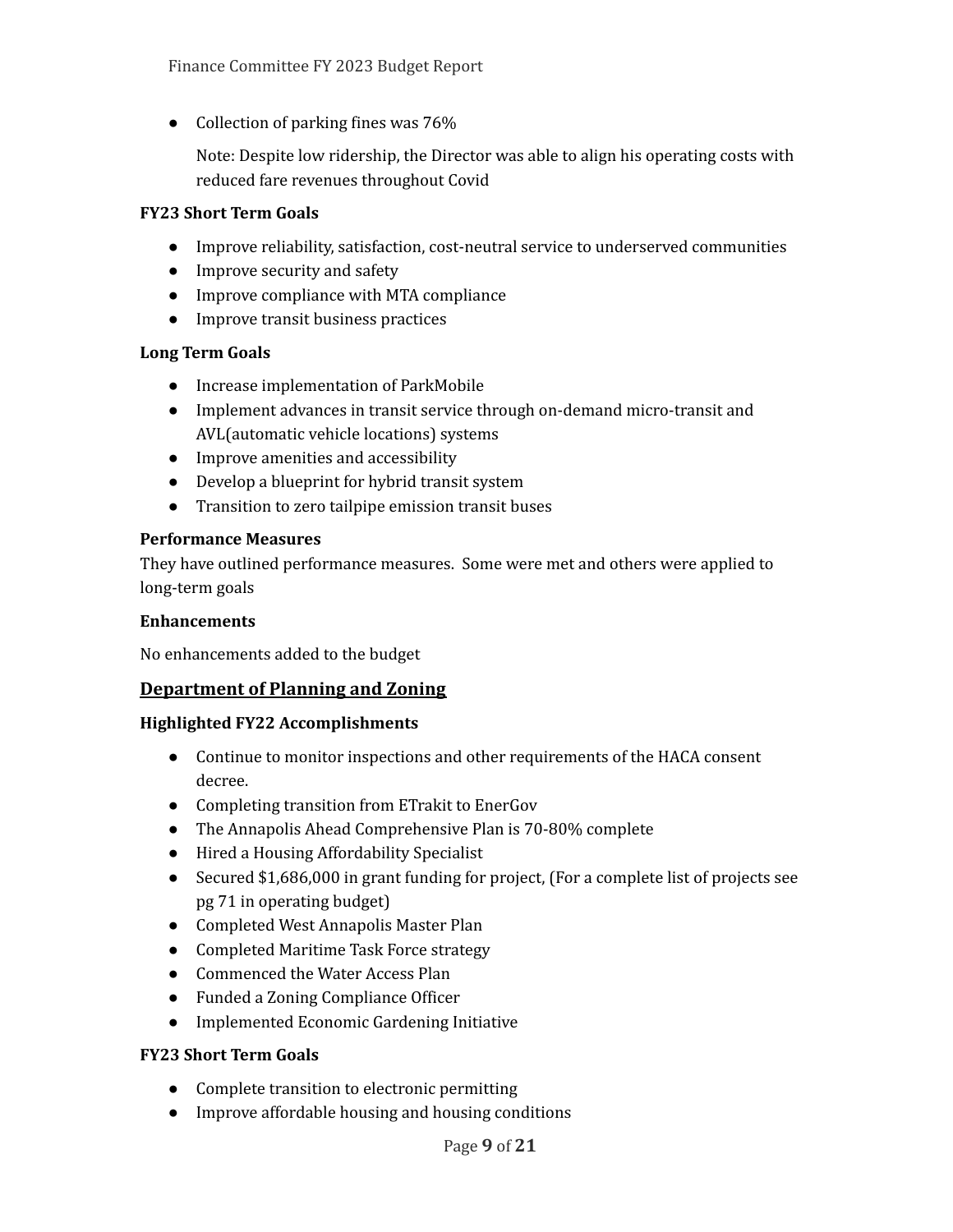• Collection of parking fines was 76%

Note: Despite low ridership, the Director was able to align his operating costs with reduced fare revenues throughout Covid

#### **FY23 Short Term Goals**

- Improve reliability, satisfaction, cost-neutral service to underserved communities
- Improve security and safety
- Improve compliance with MTA compliance
- Improve transit business practices

#### **Long Term Goals**

- Increase implementation of ParkMobile
- Implement advances in transit service through on-demand micro-transit and AVL(automatic vehicle locations) systems
- Improve amenities and accessibility
- Develop a blueprint for hybrid transit system
- Transition to zero tailpipe emission transit buses

#### **Performance Measures**

They have outlined performance measures. Some were met and others were applied to long-term goals

#### **Enhancements**

No enhancements added to the budget

#### **Department of Planning and Zoning**

#### **Highlighted FY22 Accomplishments**

- Continue to monitor inspections and other requirements of the HACA consent decree.
- Completing transition from ETrakit to EnerGov
- The Annapolis Ahead Comprehensive Plan is 70-80% complete
- Hired a Housing Affordability Specialist
- Secured \$1,686,000 in grant funding for project, (For a complete list of projects see pg 71 in operating budget)
- Completed West Annapolis Master Plan
- Completed Maritime Task Force strategy
- Commenced the Water Access Plan
- Funded a Zoning Compliance Officer
- Implemented Economic Gardening Initiative

#### **FY23 Short Term Goals**

- Complete transition to electronic permitting
- Improve affordable housing and housing conditions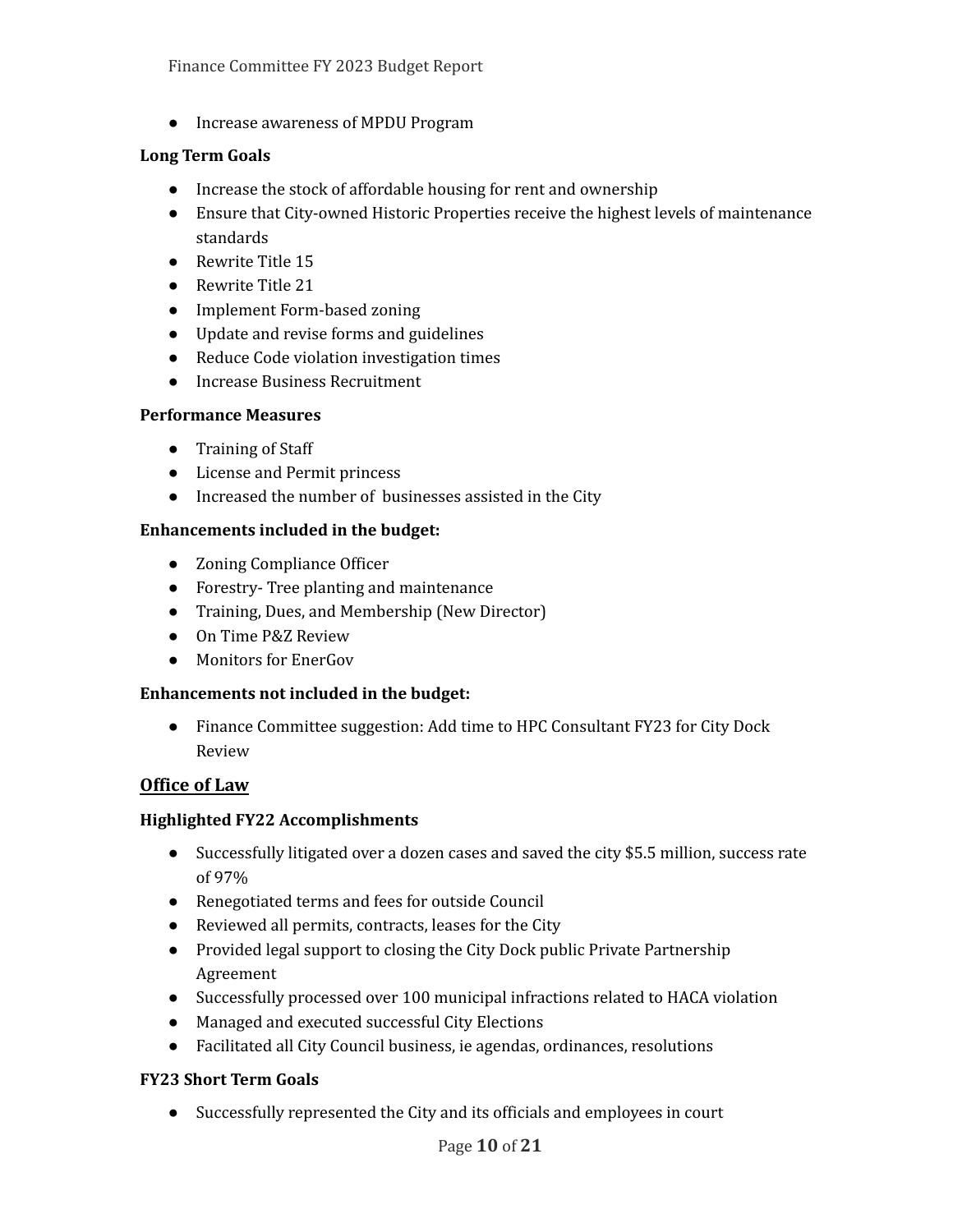● Increase awareness of MPDU Program

#### **Long Term Goals**

- Increase the stock of affordable housing for rent and ownership
- Ensure that City-owned Historic Properties receive the highest levels of maintenance standards
- Rewrite Title 15
- Rewrite Title 21
- Implement Form-based zoning
- Update and revise forms and guidelines
- Reduce Code violation investigation times
- Increase Business Recruitment

### **Performance Measures**

- Training of Staff
- License and Permit princess
- Increased the number of businesses assisted in the City

## **Enhancements included in the budget:**

- Zoning Compliance Officer
- Forestry- Tree planting and maintenance
- Training, Dues, and Membership (New Director)
- On Time P&Z Review
- Monitors for EnerGov

## **Enhancements not included in the budget:**

● Finance Committee suggestion: Add time to HPC Consultant FY23 for City Dock Review

## **Office of Law**

## **Highlighted FY22 Accomplishments**

- Successfully litigated over a dozen cases and saved the city \$5.5 million, success rate of 97%
- Renegotiated terms and fees for outside Council
- Reviewed all permits, contracts, leases for the City
- Provided legal support to closing the City Dock public Private Partnership Agreement
- Successfully processed over 100 municipal infractions related to HACA violation
- Managed and executed successful City Elections
- Facilitated all City Council business, ie agendas, ordinances, resolutions

## **FY23 Short Term Goals**

● Successfully represented the City and its officials and employees in court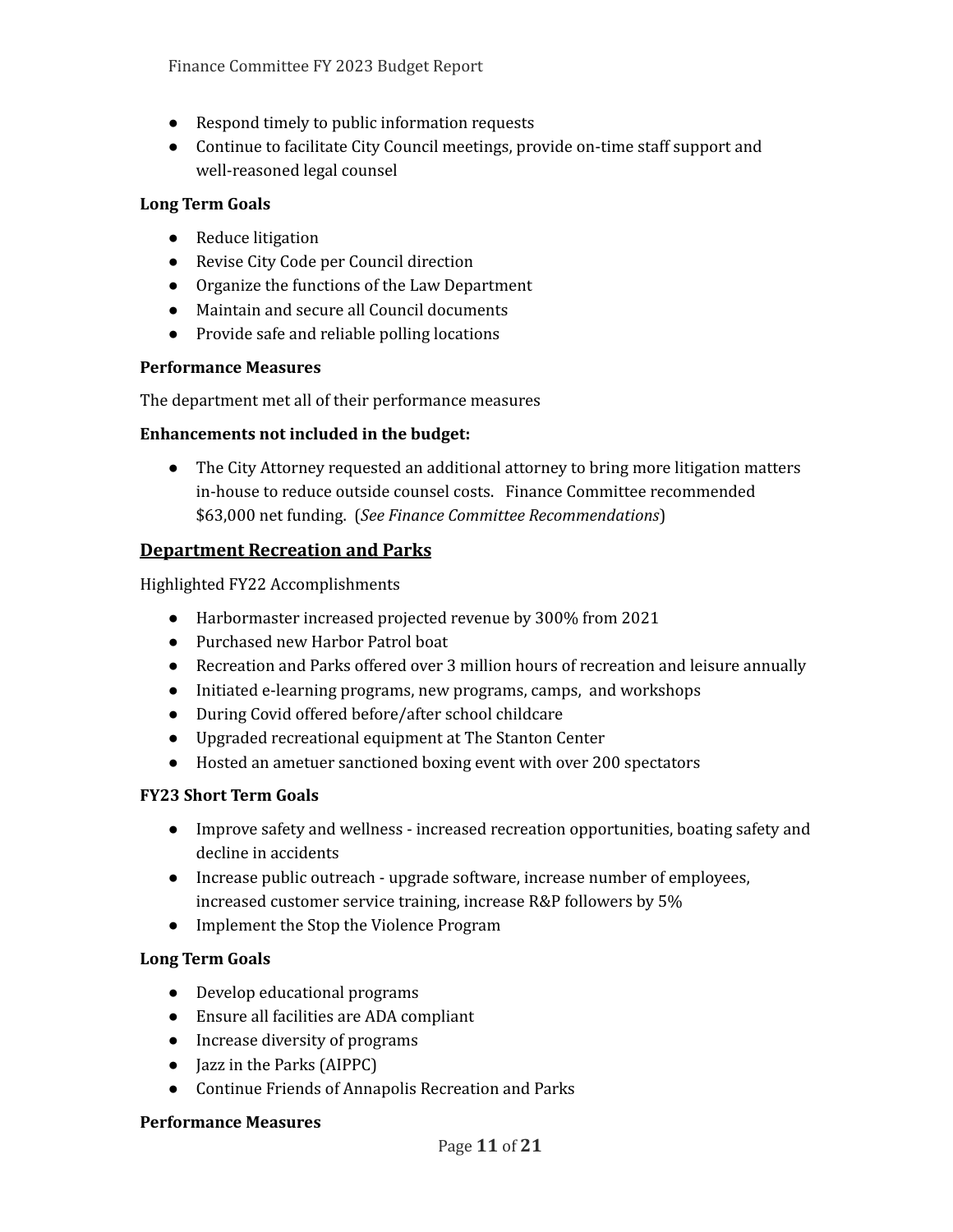- Respond timely to public information requests
- Continue to facilitate City Council meetings, provide on-time staff support and well-reasoned legal counsel

### **Long Term Goals**

- Reduce litigation
- Revise City Code per Council direction
- Organize the functions of the Law Department
- Maintain and secure all Council documents
- Provide safe and reliable polling locations

### **Performance Measures**

The department met all of their performance measures

### **Enhancements not included in the budget:**

• The City Attorney requested an additional attorney to bring more litigation matters in-house to reduce outside counsel costs. Finance Committee recommended \$63,000 net funding. (*See Finance Committee Recommendations*)

## **Department Recreation and Parks**

Highlighted FY22 Accomplishments

- Harbormaster increased projected revenue by 300% from 2021
- Purchased new Harbor Patrol boat
- Recreation and Parks offered over 3 million hours of recreation and leisure annually
- Initiated e-learning programs, new programs, camps, and workshops
- During Covid offered before/after school childcare
- Upgraded recreational equipment at The Stanton Center
- Hosted an ametuer sanctioned boxing event with over 200 spectators

## **FY23 Short Term Goals**

- Improve safety and wellness increased recreation opportunities, boating safety and decline in accidents
- Increase public outreach upgrade software, increase number of employees, increased customer service training, increase R&P followers by 5%
- Implement the Stop the Violence Program

## **Long Term Goals**

- Develop educational programs
- Ensure all facilities are ADA compliant
- Increase diversity of programs
- Jazz in the Parks (AIPPC)
- Continue Friends of Annapolis Recreation and Parks

#### **Performance Measures**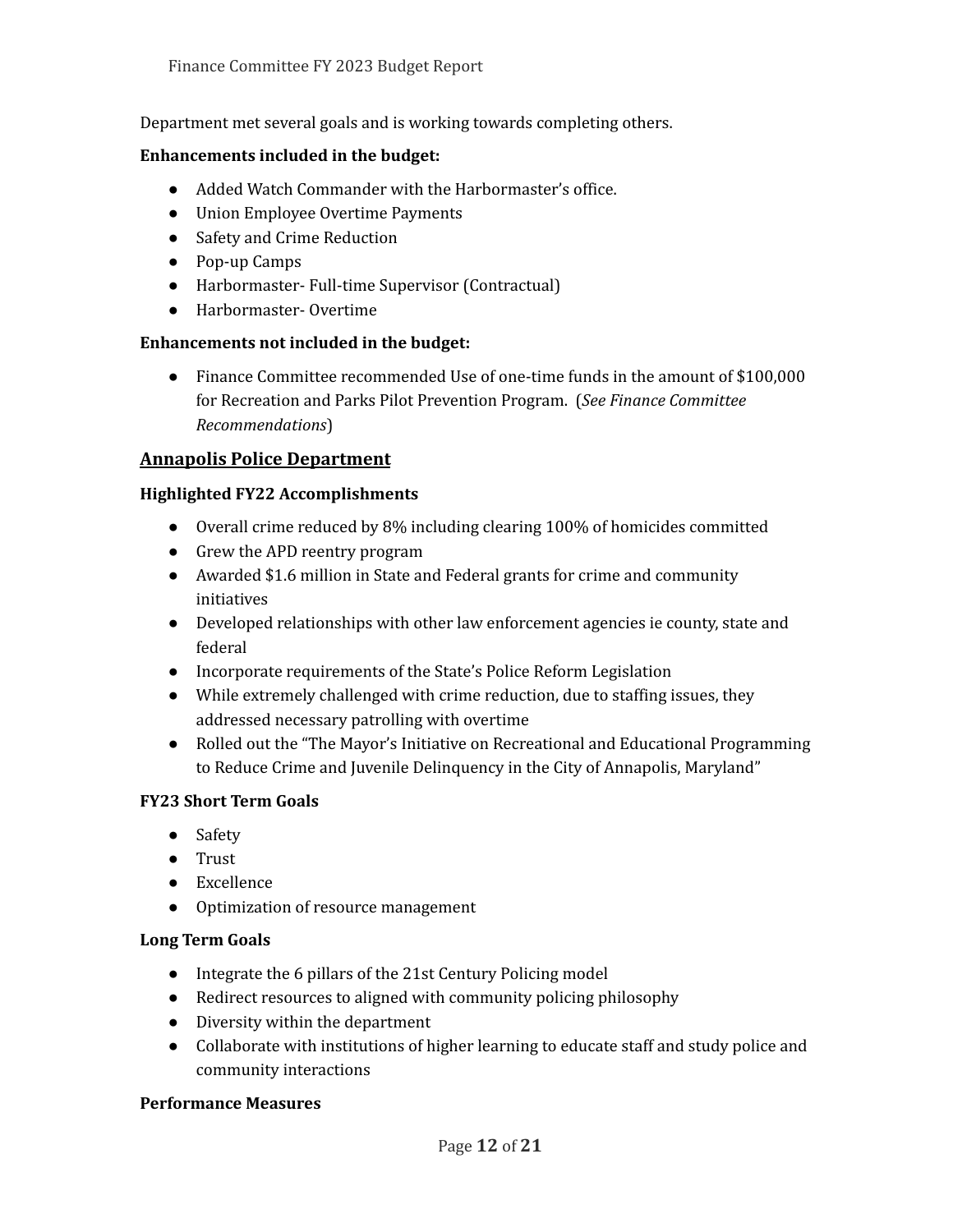Department met several goals and is working towards completing others.

#### **Enhancements included in the budget:**

- Added Watch Commander with the Harbormaster's office.
- Union Employee Overtime Payments
- Safety and Crime Reduction
- Pop-up Camps
- Harbormaster- Full-time Supervisor (Contractual)
- Harbormaster- Overtime

#### **Enhancements not included in the budget:**

● Finance Committee recommended Use of one-time funds in the amount of \$100,000 for Recreation and Parks Pilot Prevention Program. (*See Finance Committee Recommendations*)

#### **Annapolis Police Department**

#### **Highlighted FY22 Accomplishments**

- Overall crime reduced by 8% including clearing 100% of homicides committed
- Grew the APD reentry program
- Awarded \$1.6 million in State and Federal grants for crime and community initiatives
- Developed relationships with other law enforcement agencies ie county, state and federal
- Incorporate requirements of the State's Police Reform Legislation
- While extremely challenged with crime reduction, due to staffing issues, they addressed necessary patrolling with overtime
- Rolled out the "The Mayor's Initiative on Recreational and Educational Programming to Reduce Crime and Juvenile Delinquency in the City of Annapolis, Maryland"

#### **FY23 Short Term Goals**

- Safety
- Trust
- Excellence
- Optimization of resource management

#### **Long Term Goals**

- Integrate the 6 pillars of the 21st Century Policing model
- Redirect resources to aligned with community policing philosophy
- Diversity within the department
- Collaborate with institutions of higher learning to educate staff and study police and community interactions

#### **Performance Measures**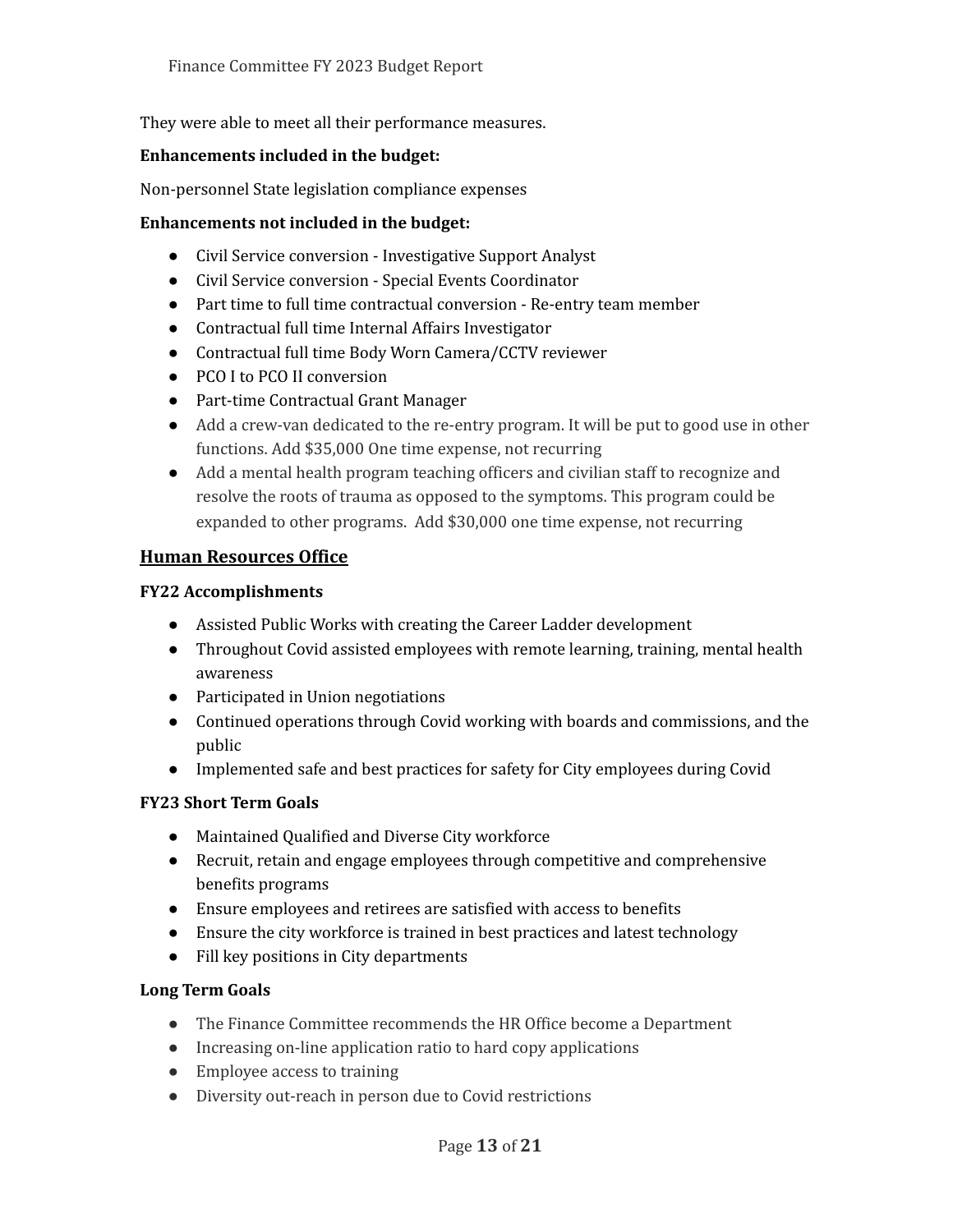They were able to meet all their performance measures.

#### **Enhancements included in the budget:**

Non-personnel State legislation compliance expenses

#### **Enhancements not included in the budget:**

- Civil Service conversion Investigative Support Analyst
- Civil Service conversion Special Events Coordinator
- Part time to full time contractual conversion Re-entry team member
- Contractual full time Internal Affairs Investigator
- Contractual full time Body Worn Camera/CCTV reviewer
- PCO I to PCO II conversion
- Part-time Contractual Grant Manager
- Add a crew-van dedicated to the re-entry program. It will be put to good use in other functions. Add \$35,000 One time expense, not recurring
- Add a mental health program teaching officers and civilian staff to recognize and resolve the roots of trauma as opposed to the symptoms. This program could be expanded to other programs. Add \$30,000 one time expense, not recurring

### **Human Resources Office**

#### **FY22 Accomplishments**

- Assisted Public Works with creating the Career Ladder development
- Throughout Covid assisted employees with remote learning, training, mental health awareness
- Participated in Union negotiations
- Continued operations through Covid working with boards and commissions, and the public
- Implemented safe and best practices for safety for City employees during Covid

#### **FY23 Short Term Goals**

- Maintained Qualified and Diverse City workforce
- Recruit, retain and engage employees through competitive and comprehensive benefits programs
- Ensure employees and retirees are satisfied with access to benefits
- Ensure the city workforce is trained in best practices and latest technology
- Fill key positions in City departments

#### **Long Term Goals**

- The Finance Committee recommends the HR Office become a Department
- Increasing on-line application ratio to hard copy applications
- Employee access to training
- Diversity out-reach in person due to Covid restrictions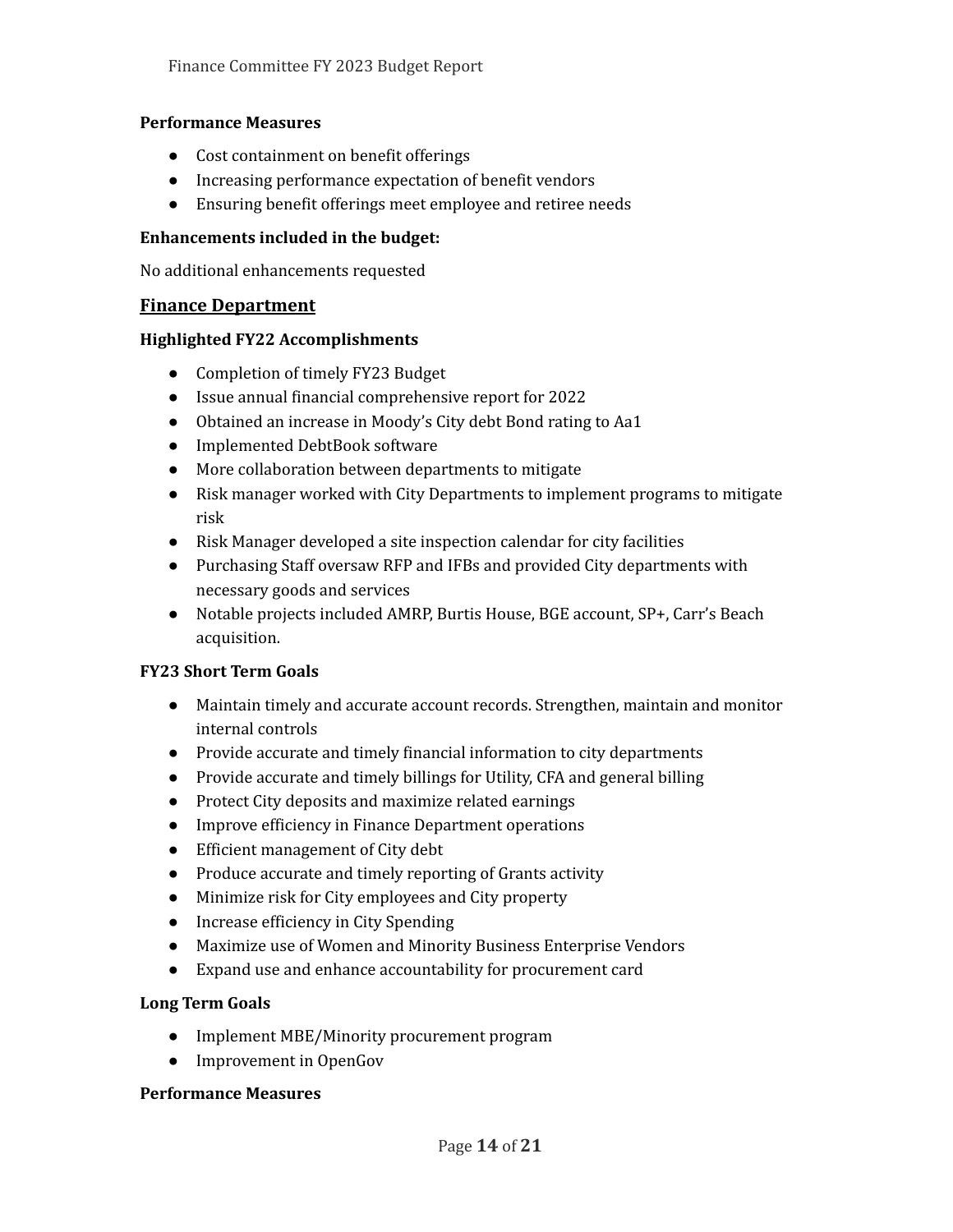#### **Performance Measures**

- Cost containment on benefit offerings
- Increasing performance expectation of benefit vendors
- Ensuring benefit offerings meet employee and retiree needs

### **Enhancements included in the budget:**

No additional enhancements requested

### **Finance Department**

#### **Highlighted FY22 Accomplishments**

- Completion of timely FY23 Budget
- Issue annual financial comprehensive report for 2022
- Obtained an increase in Moody's City debt Bond rating to Aa1
- Implemented DebtBook software
- More collaboration between departments to mitigate
- Risk manager worked with City Departments to implement programs to mitigate risk
- Risk Manager developed a site inspection calendar for city facilities
- Purchasing Staff oversaw RFP and IFBs and provided City departments with necessary goods and services
- Notable projects included AMRP, Burtis House, BGE account, SP+, Carr's Beach acquisition.

## **FY23 Short Term Goals**

- Maintain timely and accurate account records. Strengthen, maintain and monitor internal controls
- Provide accurate and timely financial information to city departments
- Provide accurate and timely billings for Utility, CFA and general billing
- Protect City deposits and maximize related earnings
- Improve efficiency in Finance Department operations
- Efficient management of City debt
- Produce accurate and timely reporting of Grants activity
- Minimize risk for City employees and City property
- Increase efficiency in City Spending
- Maximize use of Women and Minority Business Enterprise Vendors
- Expand use and enhance accountability for procurement card

## **Long Term Goals**

- Implement MBE/Minority procurement program
- Improvement in OpenGov

#### **Performance Measures**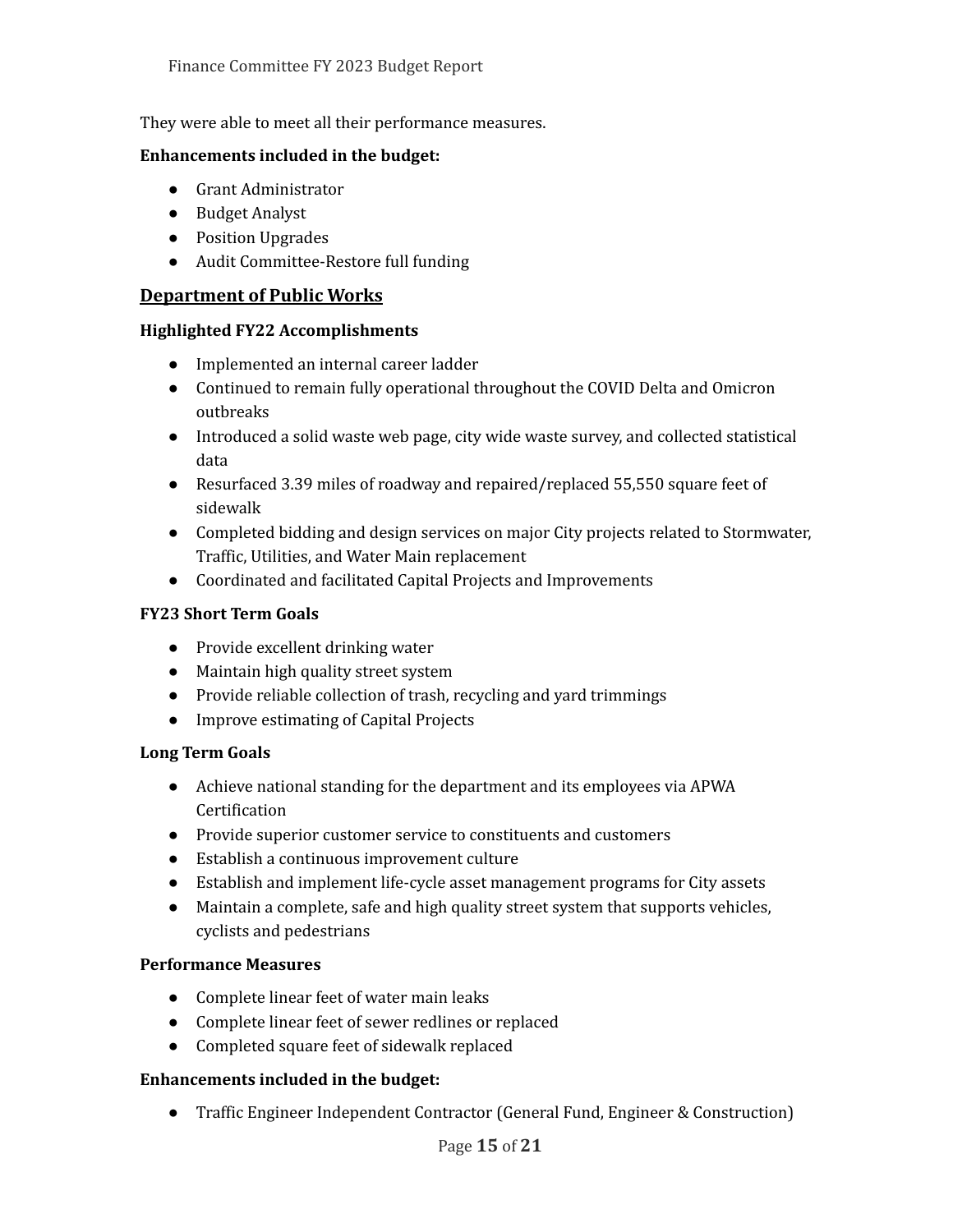They were able to meet all their performance measures.

#### **Enhancements included in the budget:**

- Grant Administrator
- Budget Analyst
- Position Upgrades
- Audit Committee-Restore full funding

### **Department of Public Works**

#### **Highlighted FY22 Accomplishments**

- Implemented an internal career ladder
- Continued to remain fully operational throughout the COVID Delta and Omicron outbreaks
- Introduced a solid waste web page, city wide waste survey, and collected statistical data
- Resurfaced 3.39 miles of roadway and repaired/replaced 55,550 square feet of sidewalk
- Completed bidding and design services on major City projects related to Stormwater, Traffic, Utilities, and Water Main replacement
- Coordinated and facilitated Capital Projects and Improvements

#### **FY23 Short Term Goals**

- Provide excellent drinking water
- Maintain high quality street system
- Provide reliable collection of trash, recycling and yard trimmings
- Improve estimating of Capital Projects

#### **Long Term Goals**

- Achieve national standing for the department and its employees via APWA Certification
- Provide superior customer service to constituents and customers
- Establish a continuous improvement culture
- Establish and implement life-cycle asset management programs for City assets
- Maintain a complete, safe and high quality street system that supports vehicles, cyclists and pedestrians

#### **Performance Measures**

- Complete linear feet of water main leaks
- Complete linear feet of sewer redlines or replaced
- Completed square feet of sidewalk replaced

#### **Enhancements included in the budget:**

● Traffic Engineer Independent Contractor (General Fund, Engineer & Construction)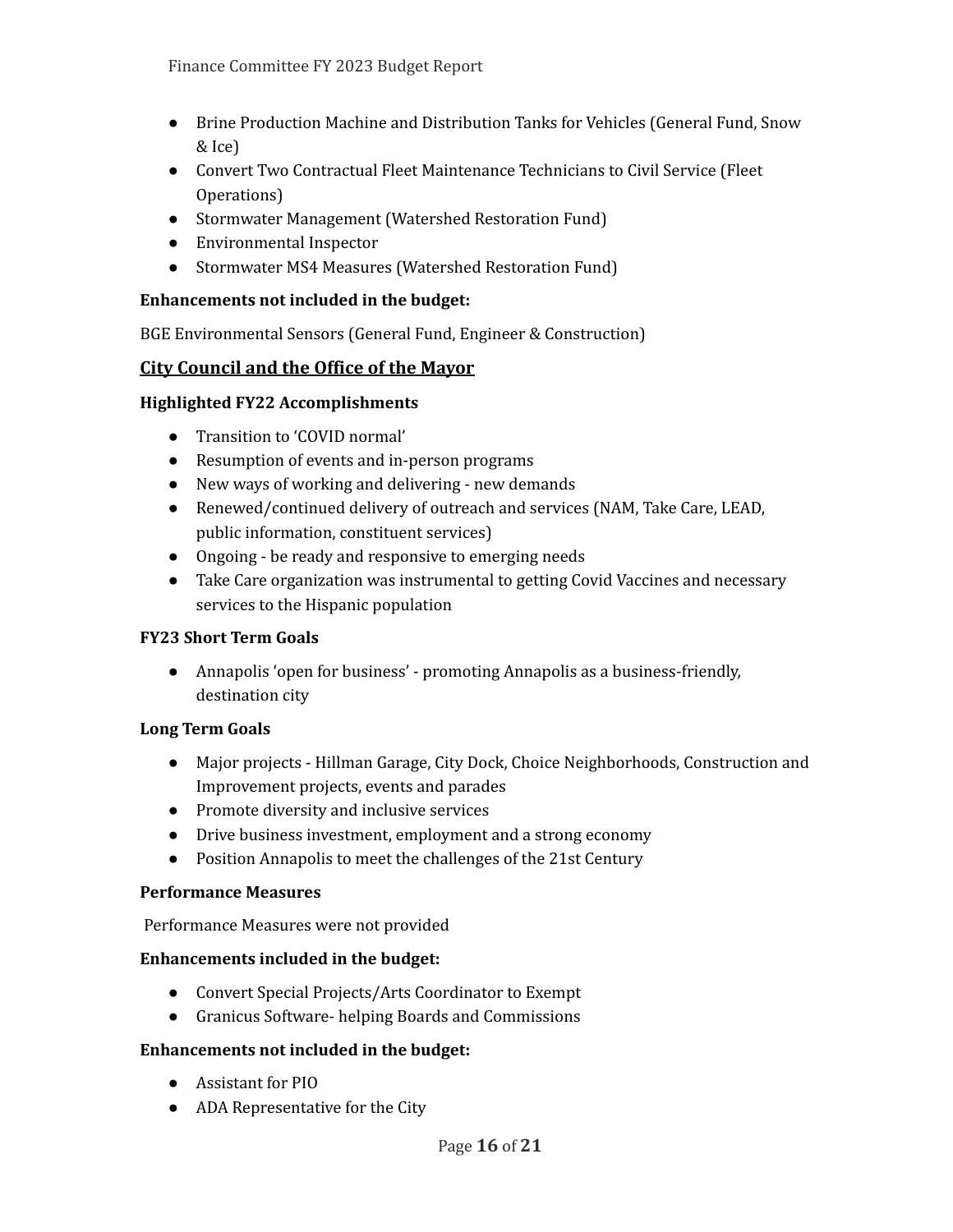- Brine Production Machine and Distribution Tanks for Vehicles (General Fund, Snow & Ice)
- Convert Two Contractual Fleet Maintenance Technicians to Civil Service (Fleet Operations)
- Stormwater Management (Watershed Restoration Fund)
- Environmental Inspector
- Stormwater MS4 Measures (Watershed Restoration Fund)

### **Enhancements not included in the budget:**

BGE Environmental Sensors (General Fund, Engineer & Construction)

## **City Council and the Office of the Mayor**

### **Highlighted FY22 Accomplishments**

- Transition to 'COVID normal'
- Resumption of events and in-person programs
- New ways of working and delivering new demands
- Renewed/continued delivery of outreach and services (NAM, Take Care, LEAD, public information, constituent services)
- Ongoing be ready and responsive to emerging needs
- Take Care organization was instrumental to getting Covid Vaccines and necessary services to the Hispanic population

## **FY23 Short Term Goals**

● Annapolis 'open for business' - promoting Annapolis as a business-friendly, destination city

## **Long Term Goals**

- Major projects Hillman Garage, City Dock, Choice Neighborhoods, Construction and Improvement projects, events and parades
- Promote diversity and inclusive services
- Drive business investment, employment and a strong economy
- Position Annapolis to meet the challenges of the 21st Century

#### **Performance Measures**

Performance Measures were not provided

#### **Enhancements included in the budget:**

- Convert Special Projects/Arts Coordinator to Exempt
- Granicus Software- helping Boards and Commissions

#### **Enhancements not included in the budget:**

- Assistant for PIO
- ADA Representative for the City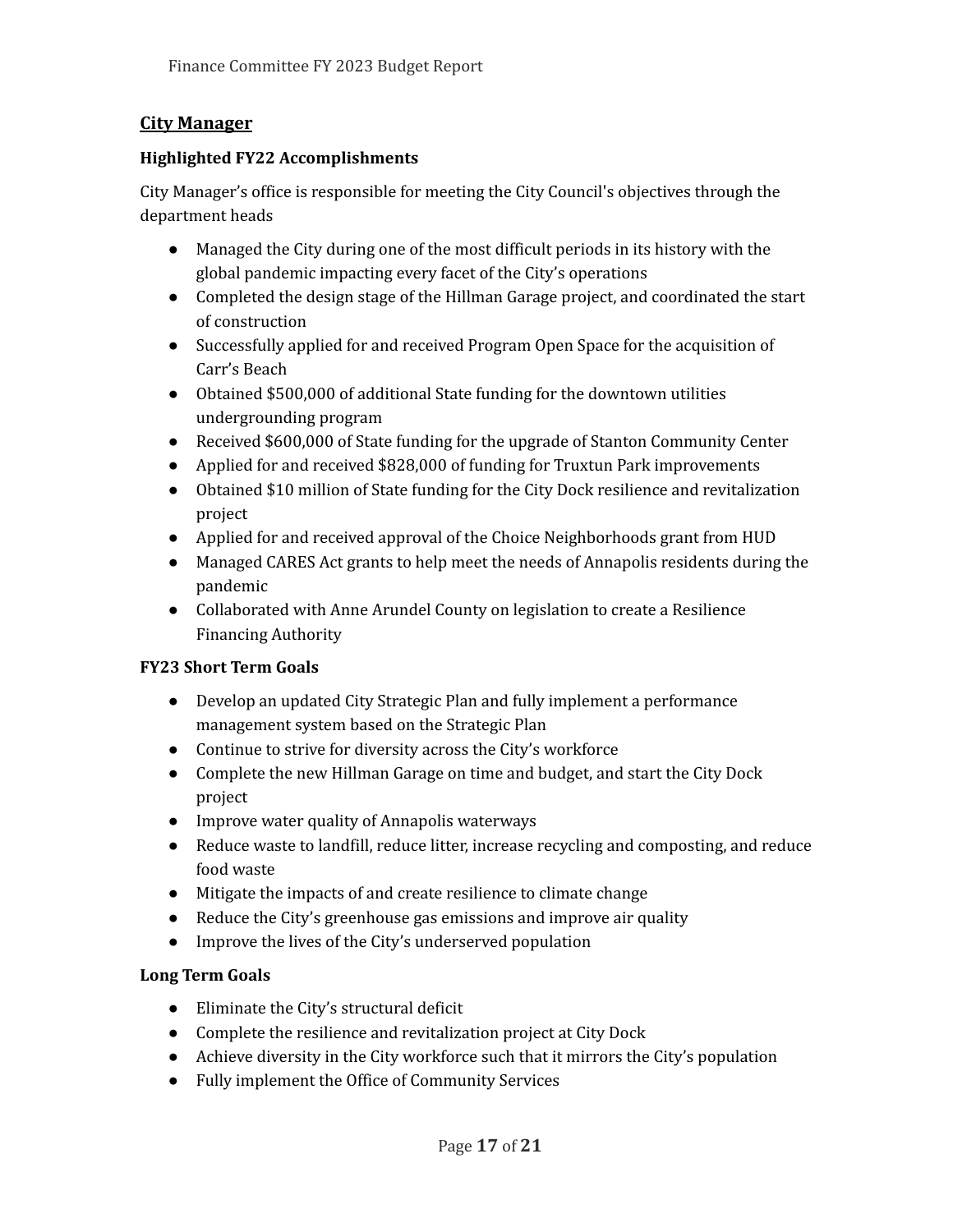## **City Manager**

### **Highlighted FY22 Accomplishments**

City Manager's office is responsible for meeting the City Council's objectives through the department heads

- Managed the City during one of the most difficult periods in its history with the global pandemic impacting every facet of the City's operations
- Completed the design stage of the Hillman Garage project, and coordinated the start of construction
- Successfully applied for and received Program Open Space for the acquisition of Carr's Beach
- Obtained \$500,000 of additional State funding for the downtown utilities undergrounding program
- Received \$600,000 of State funding for the upgrade of Stanton Community Center
- Applied for and received \$828,000 of funding for Truxtun Park improvements
- Obtained \$10 million of State funding for the City Dock resilience and revitalization project
- Applied for and received approval of the Choice Neighborhoods grant from HUD
- Managed CARES Act grants to help meet the needs of Annapolis residents during the pandemic
- Collaborated with Anne Arundel County on legislation to create a Resilience Financing Authority

## **FY23 Short Term Goals**

- Develop an updated City Strategic Plan and fully implement a performance management system based on the Strategic Plan
- Continue to strive for diversity across the City's workforce
- Complete the new Hillman Garage on time and budget, and start the City Dock project
- Improve water quality of Annapolis waterways
- Reduce waste to landfill, reduce litter, increase recycling and composting, and reduce food waste
- Mitigate the impacts of and create resilience to climate change
- Reduce the City's greenhouse gas emissions and improve air quality
- Improve the lives of the City's underserved population

## **Long Term Goals**

- Eliminate the City's structural deficit
- Complete the resilience and revitalization project at City Dock
- Achieve diversity in the City workforce such that it mirrors the City's population
- Fully implement the Office of Community Services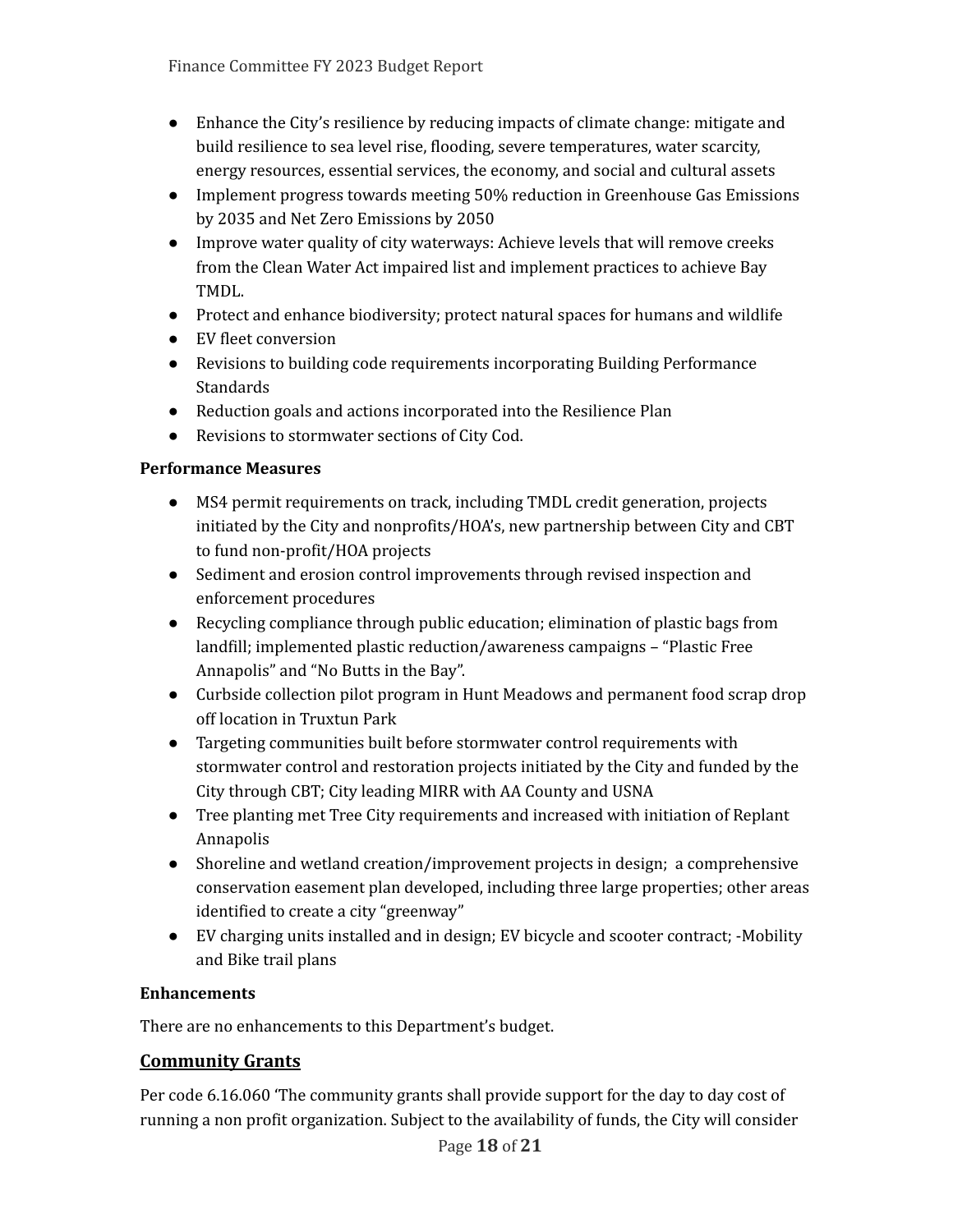- Enhance the City's resilience by reducing impacts of climate change: mitigate and build resilience to sea level rise, flooding, severe temperatures, water scarcity, energy resources, essential services, the economy, and social and cultural assets
- Implement progress towards meeting 50% reduction in Greenhouse Gas Emissions by 2035 and Net Zero Emissions by 2050
- Improve water quality of city waterways: Achieve levels that will remove creeks from the Clean Water Act impaired list and implement practices to achieve Bay TMDL.
- Protect and enhance biodiversity; protect natural spaces for humans and wildlife
- EV fleet conversion
- Revisions to building code requirements incorporating Building Performance Standards
- Reduction goals and actions incorporated into the Resilience Plan
- Revisions to stormwater sections of City Cod.

#### **Performance Measures**

- MS4 permit requirements on track, including TMDL credit generation, projects initiated by the City and nonprofits/HOA's, new partnership between City and CBT to fund non-profit/HOA projects
- Sediment and erosion control improvements through revised inspection and enforcement procedures
- Recycling compliance through public education; elimination of plastic bags from landfill; implemented plastic reduction/awareness campaigns – "Plastic Free Annapolis" and "No Butts in the Bay".
- Curbside collection pilot program in Hunt Meadows and permanent food scrap drop off location in Truxtun Park
- Targeting communities built before stormwater control requirements with stormwater control and restoration projects initiated by the City and funded by the City through CBT; City leading MIRR with AA County and USNA
- Tree planting met Tree City requirements and increased with initiation of Replant Annapolis
- Shoreline and wetland creation/improvement projects in design; a comprehensive conservation easement plan developed, including three large properties; other areas identified to create a city "greenway"
- EV charging units installed and in design; EV bicycle and scooter contract; -Mobility and Bike trail plans

## **Enhancements**

There are no enhancements to this Department's budget.

## **Community Grants**

Per code 6.16.060 'The community grants shall provide support for the day to day cost of running a non profit organization. Subject to the availability of funds, the City will consider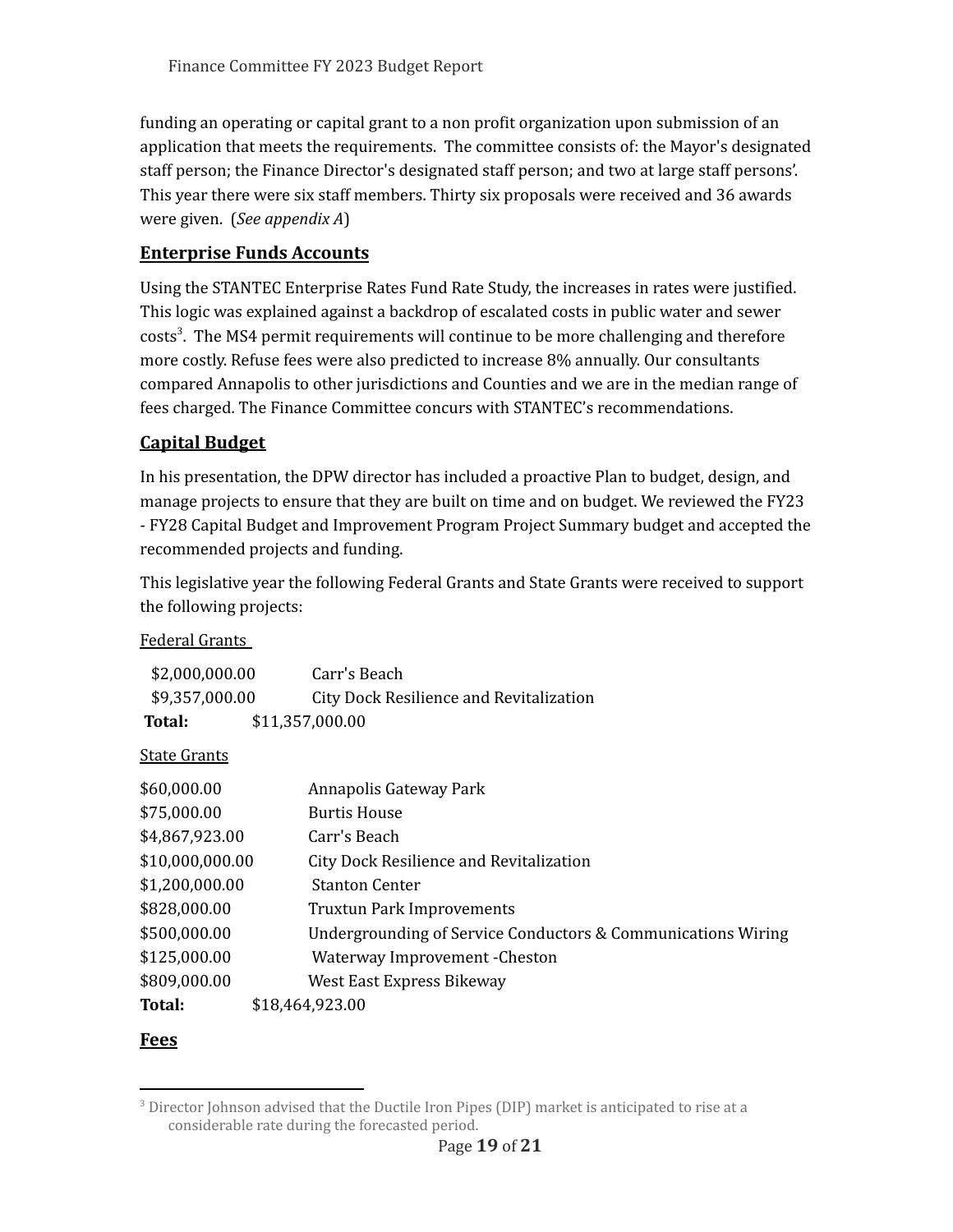funding an operating or capital grant to a non profit organization upon submission of an application that meets the requirements. The committee consists of: the Mayor's designated staff person; the Finance Director's designated staff person; and two at large staff persons'. This year there were six staff members. Thirty six proposals were received and 36 awards were given. (*See appendix A*)

## **Enterprise Funds Accounts**

Using the STANTEC Enterprise Rates Fund Rate Study, the increases in rates were justified. This logic was explained against a backdrop of escalated costs in public water and sewer costs<sup>3</sup>. The MS4 permit requirements will continue to be more challenging and therefore more costly. Refuse fees were also predicted to increase 8% annually. Our consultants compared Annapolis to other jurisdictions and Counties and we are in the median range of fees charged. The Finance Committee concurs with STANTEC's recommendations.

## **Capital Budget**

In his presentation, the DPW director has included a proactive Plan to budget, design, and manage projects to ensure that they are built on time and on budget. We reviewed the FY23 - FY28 Capital Budget and Improvement Program Project Summary budget and accepted the recommended projects and funding.

This legislative year the following Federal Grants and State Grants were received to support the following projects:

#### Federal Grants

| \$2,000,000.00 | Carr's Beach                            |
|----------------|-----------------------------------------|
| \$9,357,000.00 | City Dock Resilience and Revitalization |
| Total:         | \$11,357,000.00                         |

State Grants

| \$60,000.00     | Annapolis Gateway Park                                       |
|-----------------|--------------------------------------------------------------|
| \$75,000.00     | <b>Burtis House</b>                                          |
| \$4,867,923.00  | Carr's Beach                                                 |
| \$10,000,000.00 | City Dock Resilience and Revitalization                      |
| \$1,200,000.00  | <b>Stanton Center</b>                                        |
| \$828,000.00    | <b>Truxtun Park Improvements</b>                             |
| \$500,000.00    | Undergrounding of Service Conductors & Communications Wiring |
| \$125,000.00    | Waterway Improvement - Cheston                               |
| \$809,000.00    | West East Express Bikeway                                    |
| Total:          | \$18,464,923.00                                              |

## **Fees**

 $3$  Director Johnson advised that the Ductile Iron Pipes (DIP) market is anticipated to rise at a considerable rate during the forecasted period.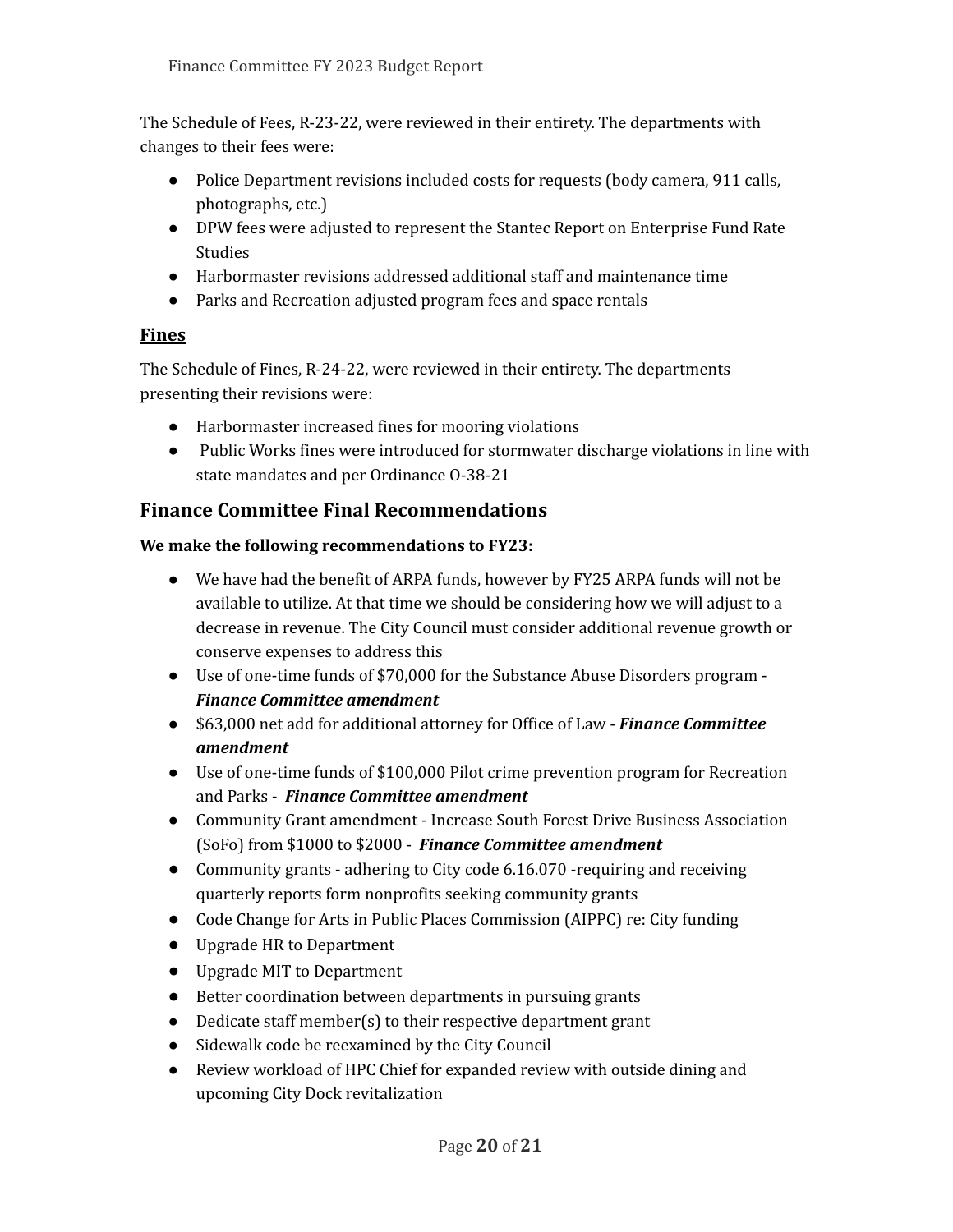The Schedule of Fees, R-23-22, were reviewed in their entirety. The departments with changes to their fees were:

- Police Department revisions included costs for requests (body camera, 911 calls, photographs, etc.)
- DPW fees were adjusted to represent the Stantec Report on Enterprise Fund Rate **Studies**
- Harbormaster revisions addressed additional staff and maintenance time
- Parks and Recreation adjusted program fees and space rentals

## **Fines**

The Schedule of Fines, R-24-22, were reviewed in their entirety. The departments presenting their revisions were:

- Harbormaster increased fines for mooring violations
- Public Works fines were introduced for stormwater discharge violations in line with state mandates and per Ordinance O-38-21

## **Finance Committee Final Recommendations**

## **We make the following recommendations to FY23:**

- We have had the benefit of ARPA funds, however by FY25 ARPA funds will not be available to utilize. At that time we should be considering how we will adjust to a decrease in revenue. The City Council must consider additional revenue growth or conserve expenses to address this
- Use of one-time funds of \$70,000 for the Substance Abuse Disorders program *Finance Committee amendment*
- \$63,000 net add for additional attorney for Office of Law *Finance Committee amendment*
- Use of one-time funds of \$100,000 Pilot crime prevention program for Recreation and Parks - *Finance Committee amendment*
- Community Grant amendment Increase South Forest Drive Business Association (SoFo) from \$1000 to \$2000 - *Finance Committee amendment*
- Community grants adhering to City code 6.16.070 -requiring and receiving quarterly reports form nonprofits seeking community grants
- Code Change for Arts in Public Places Commission (AIPPC) re: City funding
- Upgrade HR to Department
- Upgrade MIT to Department
- Better coordination between departments in pursuing grants
- Dedicate staff member(s) to their respective department grant
- Sidewalk code be reexamined by the City Council
- Review workload of HPC Chief for expanded review with outside dining and upcoming City Dock revitalization